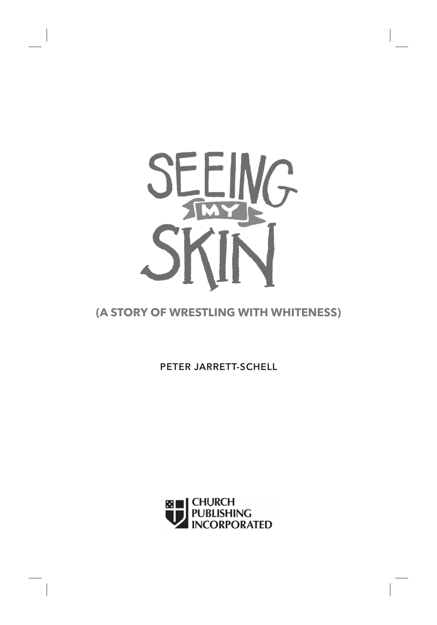

## **(A STORY OF WRESTLING WITH WHITENESS)**

PETER JARRETT-SCHELL

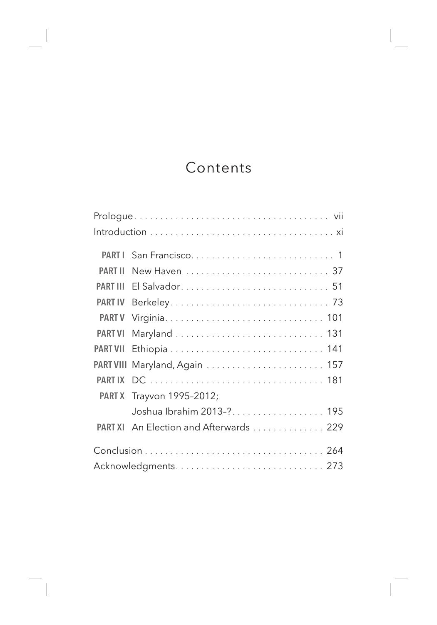## Contents

| <b>PART I</b>   |                                        |  |
|-----------------|----------------------------------------|--|
| <b>PART II</b>  | New Haven  37                          |  |
| <b>PART III</b> |                                        |  |
| <b>PART IV</b>  |                                        |  |
| <b>PART V</b>   |                                        |  |
| <b>PART VI</b>  |                                        |  |
| <b>PART VII</b> |                                        |  |
|                 |                                        |  |
| <b>PART IX</b>  |                                        |  |
|                 | PART X Trayvon 1995-2012;              |  |
|                 | Joshua Ibrahim 2013-? 195              |  |
|                 | PART XI An Election and Afterwards 229 |  |
|                 |                                        |  |
|                 |                                        |  |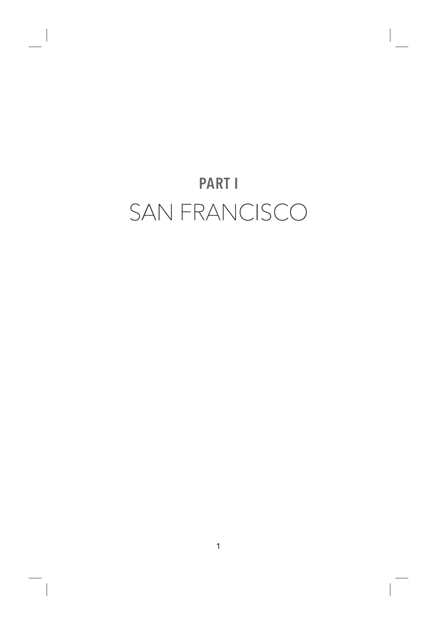## PART I SAN FRANCISCO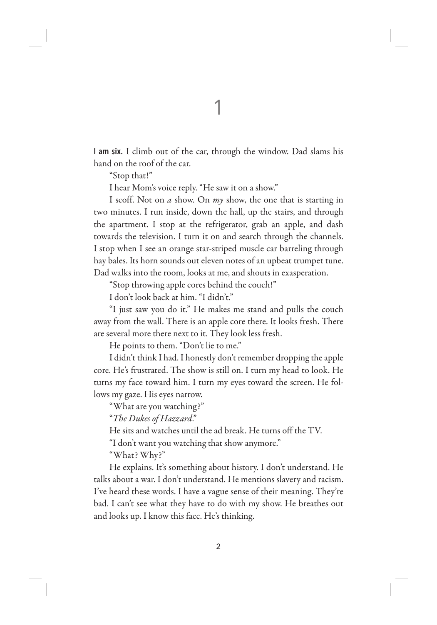I am six. I climb out of the car, through the window. Dad slams his hand on the roof of the car.

"Stop that!"

I hear Mom's voice reply. "He saw it on a show."

I scoff. Not on *a* show. On *my* show, the one that is starting in two minutes. I run inside, down the hall, up the stairs, and through the apartment. I stop at the refrigerator, grab an apple, and dash towards the television. I turn it on and search through the channels. I stop when I see an orange star-striped muscle car barreling through hay bales. Its horn sounds out eleven notes of an upbeat trumpet tune. Dad walks into the room, looks at me, and shouts in exasperation.

"Stop throwing apple cores behind the couch!"

I don't look back at him. "I didn't."

"I just saw you do it." He makes me stand and pulls the couch away from the wall. There is an apple core there. It looks fresh. There are several more there next to it. They look less fresh.

He points to them. "Don't lie to me."

I didn't think I had. I honestly don't remember dropping the apple core. He's frustrated. The show is still on. I turn my head to look. He turns my face toward him. I turn my eyes toward the screen. He follows my gaze. His eyes narrow.

"What are you watching?"

"*The Dukes of Hazzard*."

He sits and watches until the ad break. He turns off the TV.

"I don't want you watching that show anymore."

"What? Why?"

He explains. It's something about history. I don't understand. He talks about a war. I don't understand. He mentions slavery and racism. I've heard these words. I have a vague sense of their meaning. They're bad. I can't see what they have to do with my show. He breathes out and looks up. I know this face. He's thinking.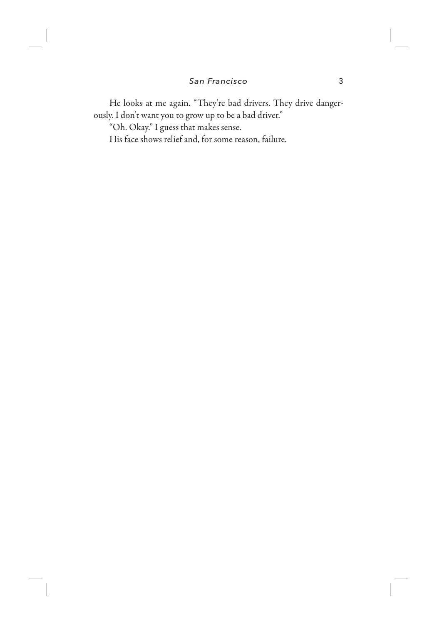He looks at me again. "They're bad drivers. They drive dangerously. I don't want you to grow up to be a bad driver."

"Oh. Okay." I guess that makes sense.

His face shows relief and, for some reason, failure.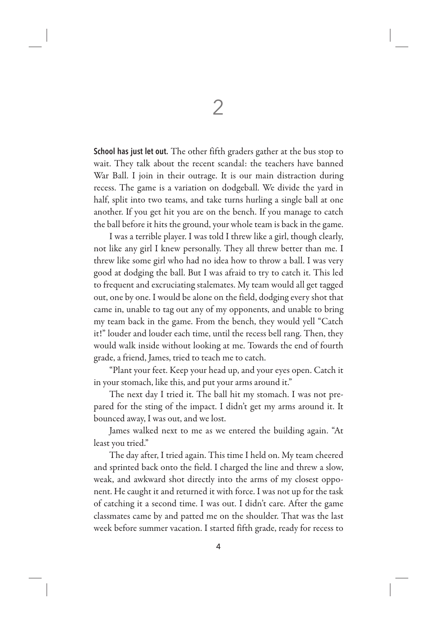School has just let out. The other fifth graders gather at the bus stop to wait. They talk about the recent scandal: the teachers have banned War Ball. I join in their outrage. It is our main distraction during recess. The game is a variation on dodgeball. We divide the yard in half, split into two teams, and take turns hurling a single ball at one another. If you get hit you are on the bench. If you manage to catch the ball before it hits the ground, your whole team is back in the game.

I was a terrible player. I was told I threw like a girl, though clearly, not like any girl I knew personally. They all threw better than me. I threw like some girl who had no idea how to throw a ball. I was very good at dodging the ball. But I was afraid to try to catch it. This led to frequent and excruciating stalemates. My team would all get tagged out, one by one. I would be alone on the field, dodging every shot that came in, unable to tag out any of my opponents, and unable to bring my team back in the game. From the bench, they would yell "Catch it!" louder and louder each time, until the recess bell rang. Then, they would walk inside without looking at me. Towards the end of fourth grade, a friend, James, tried to teach me to catch.

"Plant your feet. Keep your head up, and your eyes open. Catch it in your stomach, like this, and put your arms around it."

The next day I tried it. The ball hit my stomach. I was not prepared for the sting of the impact. I didn't get my arms around it. It bounced away, I was out, and we lost.

James walked next to me as we entered the building again. "At least you tried."

The day after, I tried again. This time I held on. My team cheered and sprinted back onto the field. I charged the line and threw a slow, weak, and awkward shot directly into the arms of my closest opponent. He caught it and returned it with force. I was not up for the task of catching it a second time. I was out. I didn't care. After the game classmates came by and patted me on the shoulder. That was the last week before summer vacation. I started fifth grade, ready for recess to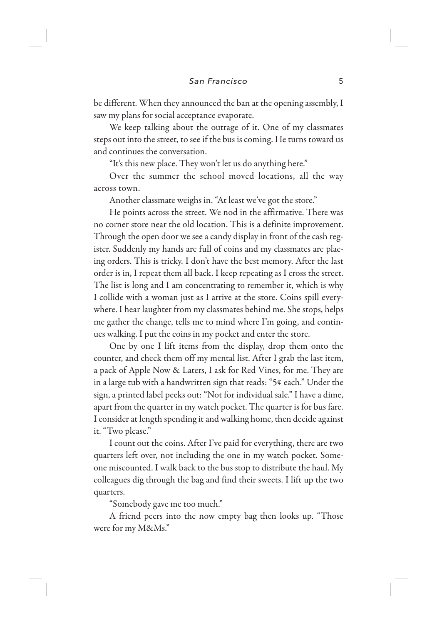be different. When they announced the ban at the opening assembly, I saw my plans for social acceptance evaporate.

We keep talking about the outrage of it. One of my classmates steps out into the street, to see if the bus is coming. He turns toward us and continues the conversation.

"It's this new place. They won't let us do anything here."

Over the summer the school moved locations, all the way across town.

Another classmate weighs in. "At least we've got the store."

He points across the street. We nod in the affirmative. There was no corner store near the old location. This is a definite improvement. Through the open door we see a candy display in front of the cash register. Suddenly my hands are full of coins and my classmates are placing orders. This is tricky. I don't have the best memory. After the last order is in, I repeat them all back. I keep repeating as I cross the street. The list is long and I am concentrating to remember it, which is why I collide with a woman just as I arrive at the store. Coins spill everywhere. I hear laughter from my classmates behind me. She stops, helps me gather the change, tells me to mind where I'm going, and continues walking. I put the coins in my pocket and enter the store.

One by one I lift items from the display, drop them onto the counter, and check them off my mental list. After I grab the last item, a pack of Apple Now & Laters, I ask for Red Vines, for me. They are in a large tub with a handwritten sign that reads: "5¢ each." Under the sign, a printed label peeks out: "Not for individual sale." I have a dime, apart from the quarter in my watch pocket. The quarter is for bus fare. I consider at length spending it and walking home, then decide against it. "Two please."

I count out the coins. After I've paid for everything, there are two quarters left over, not including the one in my watch pocket. Someone miscounted. I walk back to the bus stop to distribute the haul. My colleagues dig through the bag and find their sweets. I lift up the two quarters.

"Somebody gave me too much."

A friend peers into the now empty bag then looks up. "Those were for my M&Ms."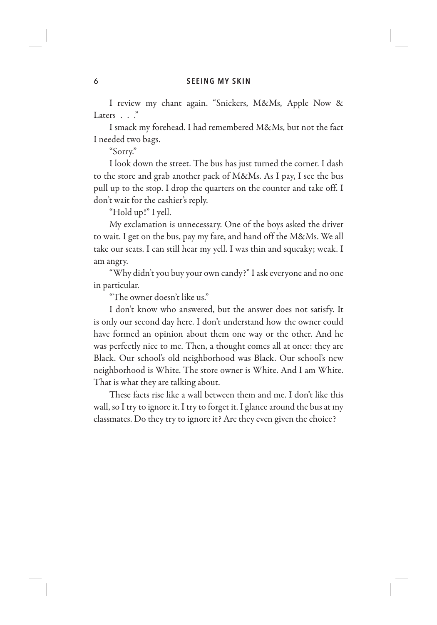I review my chant again. "Snickers, M&Ms, Apple Now & Laters . . . "

I smack my forehead. I had remembered M&Ms, but not the fact I needed two bags.

"Sorry."

I look down the street. The bus has just turned the corner. I dash to the store and grab another pack of M&Ms. As I pay, I see the bus pull up to the stop. I drop the quarters on the counter and take off. I don't wait for the cashier's reply.

"Hold up!" I yell.

My exclamation is unnecessary. One of the boys asked the driver to wait. I get on the bus, pay my fare, and hand off the M&Ms. We all take our seats. I can still hear my yell. I was thin and squeaky; weak. I am angry.

"Why didn't you buy your own candy?" I ask everyone and no one in particular.

"The owner doesn't like us."

I don't know who answered, but the answer does not satisfy. It is only our second day here. I don't understand how the owner could have formed an opinion about them one way or the other. And he was perfectly nice to me. Then, a thought comes all at once: they are Black. Our school's old neighborhood was Black. Our school's new neighborhood is White. The store owner is White. And I am White. That is what they are talking about.

These facts rise like a wall between them and me. I don't like this wall, so I try to ignore it. I try to forget it. I glance around the bus at my classmates. Do they try to ignore it? Are they even given the choice?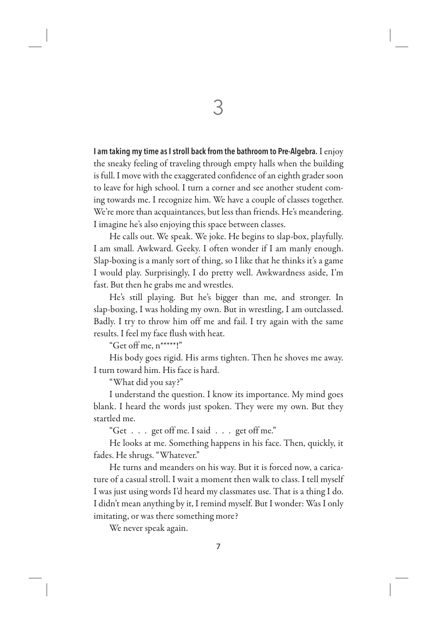I am taking my time as I stroll back from the bathroom to Pre-Algebra. I enjoy the sneaky feeling of traveling through empty halls when the building is full. I move with the exaggerated confidence of an eighth grader soon to leave for high school. I turn a corner and see another student coming towards me. I recognize him. We have a couple of classes together. We're more than acquaintances, but less than friends. He's meandering. I imagine he's also enjoying this space between classes.

He calls out. We speak. We joke. He begins to slap-box, playfully. I am small. Awkward. Geeky. I often wonder if I am manly enough. Slap-boxing is a manly sort of thing, so I like that he thinks it's a game I would play. Surprisingly, I do pretty well. Awkwardness aside, I'm fast. But then he grabs me and wrestles.

He's still playing. But he's bigger than me, and stronger. In slap-boxing, I was holding my own. But in wrestling, I am outclassed. Badly. I try to throw him off me and fail. I try again with the same results. I feel my face flush with heat.

"Get off me, n\*\*\*\*\*!"

His body goes rigid. His arms tighten. Then he shoves me away. I turn toward him. His face is hard.

"What did you say?"

I understand the question. I know its importance. My mind goes blank. I heard the words just spoken. They were my own. But they startled me.

"Get . . . get off me. I said . . . get off me."

He looks at me. Something happens in his face. Then, quickly, it fades. He shrugs. "Whatever."

He turns and meanders on his way. But it is forced now, a caricature of a casual stroll. I wait a moment then walk to class. I tell myself I was just using words I'd heard my classmates use. That is a thing I do. I didn't mean anything by it, I remind myself. But I wonder: Was I only imitating, or was there something more?

We never speak again.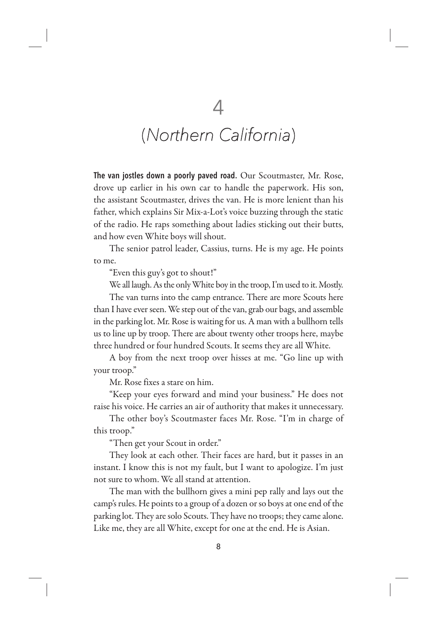## (Northern California)

The van jostles down a poorly paved road. Our Scoutmaster, Mr. Rose, drove up earlier in his own car to handle the paperwork. His son, the assistant Scoutmaster, drives the van. He is more lenient than his father, which explains Sir Mix-a-Lot's voice buzzing through the static of the radio. He raps something about ladies sticking out their butts, and how even White boys will shout.

The senior patrol leader, Cassius, turns. He is my age. He points to me.

"Even this guy's got to shout!"

We all laugh. As the only White boy in the troop, I'm used to it. Mostly.

The van turns into the camp entrance. There are more Scouts here than I have ever seen. We step out of the van, grab our bags, and assemble in the parking lot. Mr. Rose is waiting for us. A man with a bullhorn tells us to line up by troop. There are about twenty other troops here, maybe three hundred or four hundred Scouts. It seems they are all White.

A boy from the next troop over hisses at me. "Go line up with your troop."

Mr. Rose fixes a stare on him.

"Keep your eyes forward and mind your business." He does not raise his voice. He carries an air of authority that makes it unnecessary.

The other boy's Scoutmaster faces Mr. Rose. "I'm in charge of this troop."

"Then get your Scout in order."

They look at each other. Their faces are hard, but it passes in an instant. I know this is not my fault, but I want to apologize. I'm just not sure to whom. We all stand at attention.

The man with the bullhorn gives a mini pep rally and lays out the camp's rules. He points to a group of a dozen or so boys at one end of the parking lot. They are solo Scouts. They have no troops; they came alone. Like me, they are all White, except for one at the end. He is Asian.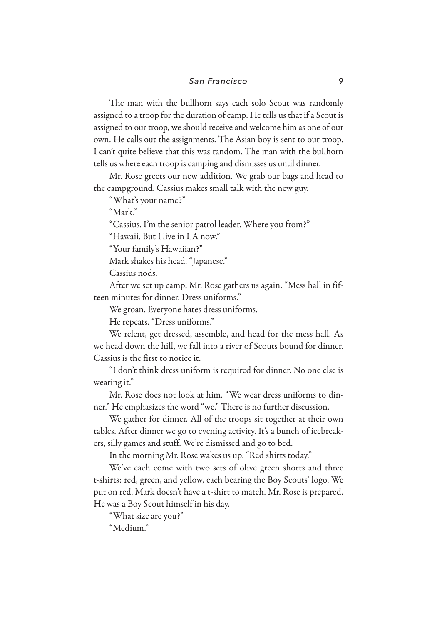The man with the bullhorn says each solo Scout was randomly assigned to a troop for the duration of camp. He tells us that if a Scout is assigned to our troop, we should receive and welcome him as one of our own. He calls out the assignments. The Asian boy is sent to our troop. I can't quite believe that this was random. The man with the bullhorn tells us where each troop is camping and dismisses us until dinner.

Mr. Rose greets our new addition. We grab our bags and head to the campground. Cassius makes small talk with the new guy.

"What's your name?"

"Mark."

"Cassius. I'm the senior patrol leader. Where you from?"

"Hawaii. But I live in LA now."

"Your family's Hawaiian?"

Mark shakes his head. "Japanese."

Cassius nods.

After we set up camp, Mr. Rose gathers us again. "Mess hall in fifteen minutes for dinner. Dress uniforms."

We groan. Everyone hates dress uniforms.

He repeats. "Dress uniforms."

We relent, get dressed, assemble, and head for the mess hall. As we head down the hill, we fall into a river of Scouts bound for dinner. Cassius is the first to notice it.

"I don't think dress uniform is required for dinner. No one else is wearing it."

Mr. Rose does not look at him. "We wear dress uniforms to dinner." He emphasizes the word "we." There is no further discussion.

We gather for dinner. All of the troops sit together at their own tables. After dinner we go to evening activity. It's a bunch of icebreakers, silly games and stuff. We're dismissed and go to bed.

In the morning Mr. Rose wakes us up. "Red shirts today."

We've each come with two sets of olive green shorts and three t-shirts: red, green, and yellow, each bearing the Boy Scouts' logo. We put on red. Mark doesn't have a t-shirt to match. Mr. Rose is prepared. He was a Boy Scout himself in his day.

"What size are you?"

"Medium."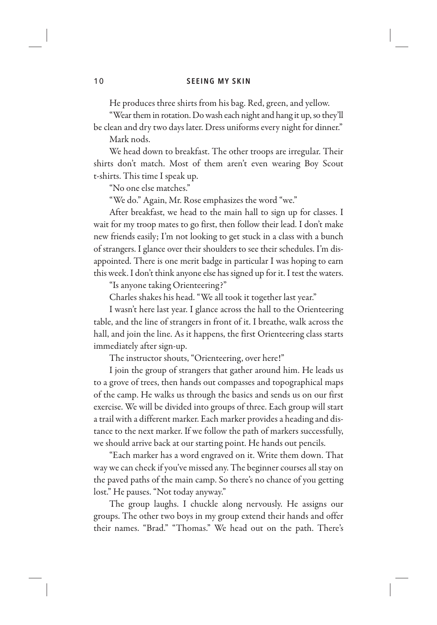He produces three shirts from his bag. Red, green, and yellow.

"Wear them in rotation. Do wash each night and hang it up, so they'll be clean and dry two days later. Dress uniforms every night for dinner." Mark nods.

We head down to breakfast. The other troops are irregular. Their shirts don't match. Most of them aren't even wearing Boy Scout t-shirts. This time I speak up.

"No one else matches."

"We do." Again, Mr. Rose emphasizes the word "we."

After breakfast, we head to the main hall to sign up for classes. I wait for my troop mates to go first, then follow their lead. I don't make new friends easily; I'm not looking to get stuck in a class with a bunch of strangers. I glance over their shoulders to see their schedules. I'm disappointed. There is one merit badge in particular I was hoping to earn this week. I don't think anyone else has signed up for it. I test the waters.

"Is anyone taking Orienteering?"

Charles shakes his head. "We all took it together last year."

I wasn't here last year. I glance across the hall to the Orienteering table, and the line of strangers in front of it. I breathe, walk across the hall, and join the line. As it happens, the first Orienteering class starts immediately after sign-up.

The instructor shouts, "Orienteering, over here!"

I join the group of strangers that gather around him. He leads us to a grove of trees, then hands out compasses and topographical maps of the camp. He walks us through the basics and sends us on our first exercise. We will be divided into groups of three. Each group will start a trail with a different marker. Each marker provides a heading and distance to the next marker. If we follow the path of markers successfully, we should arrive back at our starting point. He hands out pencils.

"Each marker has a word engraved on it. Write them down. That way we can check if you've missed any. The beginner courses all stay on the paved paths of the main camp. So there's no chance of you getting lost." He pauses. "Not today anyway."

The group laughs. I chuckle along nervously. He assigns our groups. The other two boys in my group extend their hands and offer their names. "Brad." "Thomas." We head out on the path. There's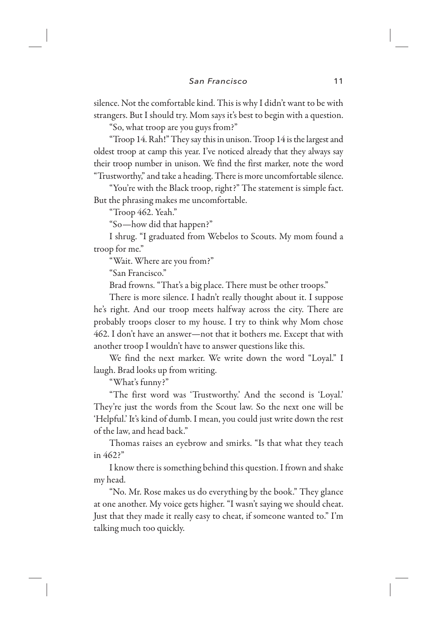silence. Not the comfortable kind. This is why I didn't want to be with strangers. But I should try. Mom says it's best to begin with a question.

"So, what troop are you guys from?"

"Troop 14. Rah!" They say this in unison. Troop 14 is the largest and oldest troop at camp this year. I've noticed already that they always say their troop number in unison. We find the first marker, note the word "Trustworthy," and take a heading. There is more uncomfortable silence.

"You're with the Black troop, right?" The statement is simple fact. But the phrasing makes me uncomfortable.

"Troop 462. Yeah."

"So—how did that happen?"

I shrug. "I graduated from Webelos to Scouts. My mom found a troop for me."

"Wait. Where are you from?"

"San Francisco."

Brad frowns. "That's a big place. There must be other troops."

There is more silence. I hadn't really thought about it. I suppose he's right. And our troop meets halfway across the city. There are probably troops closer to my house. I try to think why Mom chose 462. I don't have an answer—not that it bothers me. Except that with another troop I wouldn't have to answer questions like this.

We find the next marker. We write down the word "Loyal." I laugh. Brad looks up from writing.

"What's funny?"

"The first word was 'Trustworthy.' And the second is 'Loyal.' They're just the words from the Scout law. So the next one will be 'Helpful.' It's kind of dumb. I mean, you could just write down the rest of the law, and head back."

Thomas raises an eyebrow and smirks. "Is that what they teach in 462?"

I know there is something behind this question. I frown and shake my head.

"No. Mr. Rose makes us do everything by the book." They glance at one another. My voice gets higher. "I wasn't saying we should cheat. Just that they made it really easy to cheat, if someone wanted to." I'm talking much too quickly.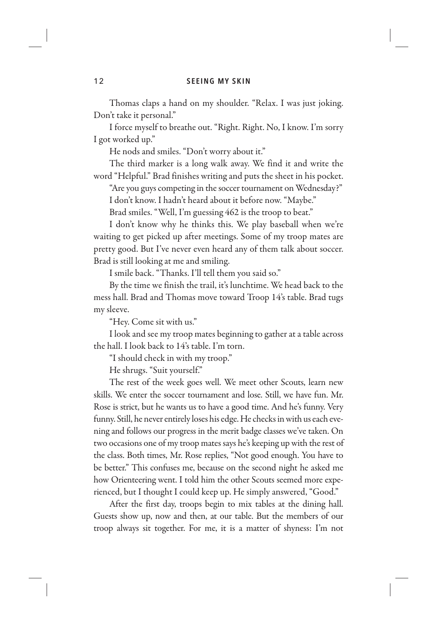Thomas claps a hand on my shoulder. "Relax. I was just joking. Don't take it personal."

I force myself to breathe out. "Right. Right. No, I know. I'm sorry I got worked up."

He nods and smiles. "Don't worry about it."

The third marker is a long walk away. We find it and write the word "Helpful." Brad finishes writing and puts the sheet in his pocket.

"Are you guys competing in the soccer tournament on Wednesday?"

I don't know. I hadn't heard about it before now. "Maybe."

Brad smiles. "Well, I'm guessing 462 is the troop to beat."

I don't know why he thinks this. We play baseball when we're waiting to get picked up after meetings. Some of my troop mates are pretty good. But I've never even heard any of them talk about soccer. Brad is still looking at me and smiling.

I smile back. "Thanks. I'll tell them you said so."

By the time we finish the trail, it's lunchtime. We head back to the mess hall. Brad and Thomas move toward Troop 14's table. Brad tugs my sleeve.

"Hey. Come sit with us."

I look and see my troop mates beginning to gather at a table across the hall. I look back to 14's table. I'm torn.

"I should check in with my troop."

He shrugs. "Suit yourself."

The rest of the week goes well. We meet other Scouts, learn new skills. We enter the soccer tournament and lose. Still, we have fun. Mr. Rose is strict, but he wants us to have a good time. And he's funny. Very funny. Still, he never entirely loses his edge. He checks in with us each evening and follows our progress in the merit badge classes we've taken. On two occasions one of my troop mates says he's keeping up with the rest of the class. Both times, Mr. Rose replies, "Not good enough. You have to be better." This confuses me, because on the second night he asked me how Orienteering went. I told him the other Scouts seemed more experienced, but I thought I could keep up. He simply answered, "Good."

After the first day, troops begin to mix tables at the dining hall. Guests show up, now and then, at our table. But the members of our troop always sit together. For me, it is a matter of shyness: I'm not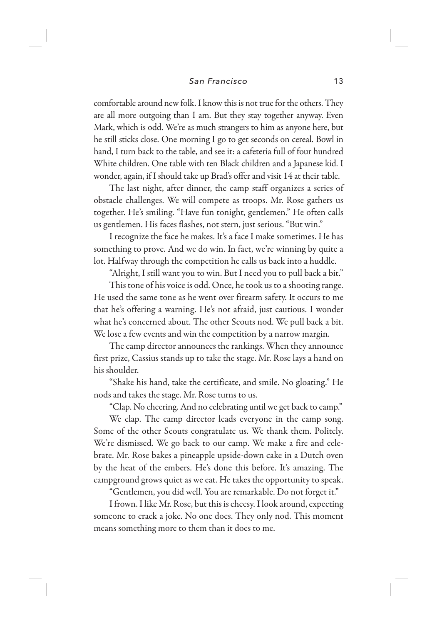comfortable around new folk. I know this is not true for the others. They are all more outgoing than I am. But they stay together anyway. Even Mark, which is odd. We're as much strangers to him as anyone here, but he still sticks close. One morning I go to get seconds on cereal. Bowl in hand, I turn back to the table, and see it: a cafeteria full of four hundred White children. One table with ten Black children and a Japanese kid. I wonder, again, if I should take up Brad's offer and visit 14 at their table.

The last night, after dinner, the camp staff organizes a series of obstacle challenges. We will compete as troops. Mr. Rose gathers us together. He's smiling. "Have fun tonight, gentlemen." He often calls us gentlemen. His faces flashes, not stern, just serious. "But win."

I recognize the face he makes. It's a face I make sometimes. He has something to prove. And we do win. In fact, we're winning by quite a lot. Halfway through the competition he calls us back into a huddle.

"Alright, I still want you to win. But I need you to pull back a bit."

This tone of his voice is odd. Once, he took us to a shooting range. He used the same tone as he went over firearm safety. It occurs to me that he's offering a warning. He's not afraid, just cautious. I wonder what he's concerned about. The other Scouts nod. We pull back a bit. We lose a few events and win the competition by a narrow margin.

The camp director announces the rankings. When they announce first prize, Cassius stands up to take the stage. Mr. Rose lays a hand on his shoulder.

"Shake his hand, take the certificate, and smile. No gloating." He nods and takes the stage. Mr. Rose turns to us.

"Clap. No cheering. And no celebrating until we get back to camp."

We clap. The camp director leads everyone in the camp song. Some of the other Scouts congratulate us. We thank them. Politely. We're dismissed. We go back to our camp. We make a fire and celebrate. Mr. Rose bakes a pineapple upside-down cake in a Dutch oven by the heat of the embers. He's done this before. It's amazing. The campground grows quiet as we eat. He takes the opportunity to speak.

"Gentlemen, you did well. You are remarkable. Do not forget it."

I frown. I like Mr. Rose, but this is cheesy. I look around, expecting someone to crack a joke. No one does. They only nod. This moment means something more to them than it does to me.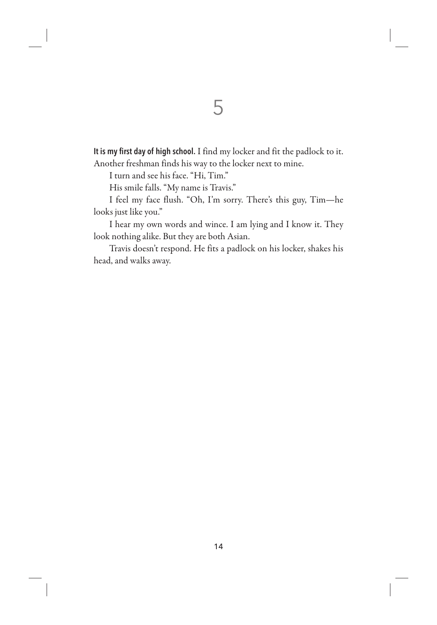It is my first day of high school. I find my locker and fit the padlock to it. Another freshman finds his way to the locker next to mine.

I turn and see his face. "Hi, Tim."

His smile falls. "My name is Travis."

I feel my face flush. "Oh, I'm sorry. There's this guy, Tim—he looks just like you."

I hear my own words and wince. I am lying and I know it. They look nothing alike. But they are both Asian.

Travis doesn't respond. He fits a padlock on his locker, shakes his head, and walks away.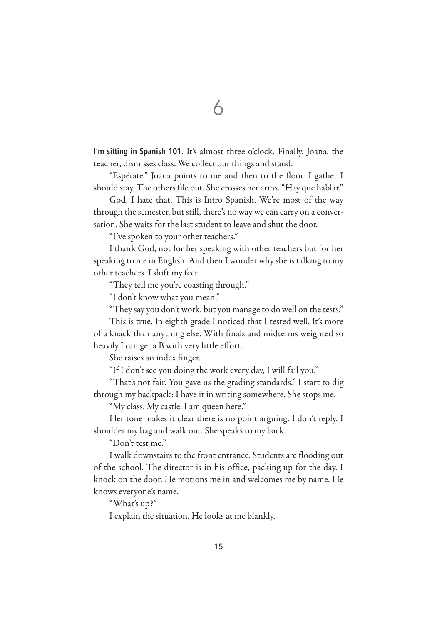I'm sitting in Spanish 101. It's almost three o'clock. Finally, Joana, the teacher, dismisses class. We collect our things and stand.

"Espérate." Joana points to me and then to the floor. I gather I should stay. The others file out. She crosses her arms. "Hay que hablar."

God, I hate that. This is Intro Spanish. We're most of the way through the semester, but still, there's no way we can carry on a conversation. She waits for the last student to leave and shut the door.

"I've spoken to your other teachers."

I thank God, not for her speaking with other teachers but for her speaking to me in English. And then I wonder why she is talking to my other teachers. I shift my feet.

"They tell me you're coasting through."

"I don't know what you mean."

"They say you don't work, but you manage to do well on the tests."

This is true. In eighth grade I noticed that I tested well. It's more of a knack than anything else. With finals and midterms weighted so heavily I can get a B with very little effort.

She raises an index finger.

"If I don't see you doing the work every day, I will fail you."

"That's not fair. You gave us the grading standards." I start to dig through my backpack: I have it in writing somewhere. She stops me.

"My class. My castle. I am queen here."

Her tone makes it clear there is no point arguing. I don't reply. I shoulder my bag and walk out. She speaks to my back.

"Don't test me."

I walk downstairs to the front entrance. Students are flooding out of the school. The director is in his office, packing up for the day. I knock on the door. He motions me in and welcomes me by name. He knows everyone's name.

"What's up?"

I explain the situation. He looks at me blankly.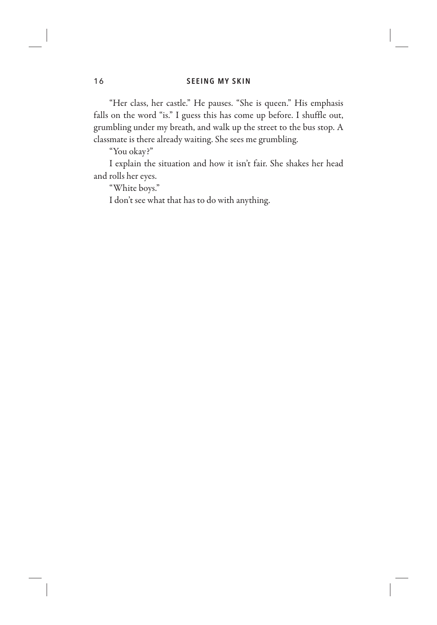"Her class, her castle." He pauses. "She is queen." His emphasis falls on the word "is." I guess this has come up before. I shuffle out, grumbling under my breath, and walk up the street to the bus stop. A classmate is there already waiting. She sees me grumbling.

"You okay?"

I explain the situation and how it isn't fair. She shakes her head and rolls her eyes.

"White boys."

I don't see what that has to do with anything.